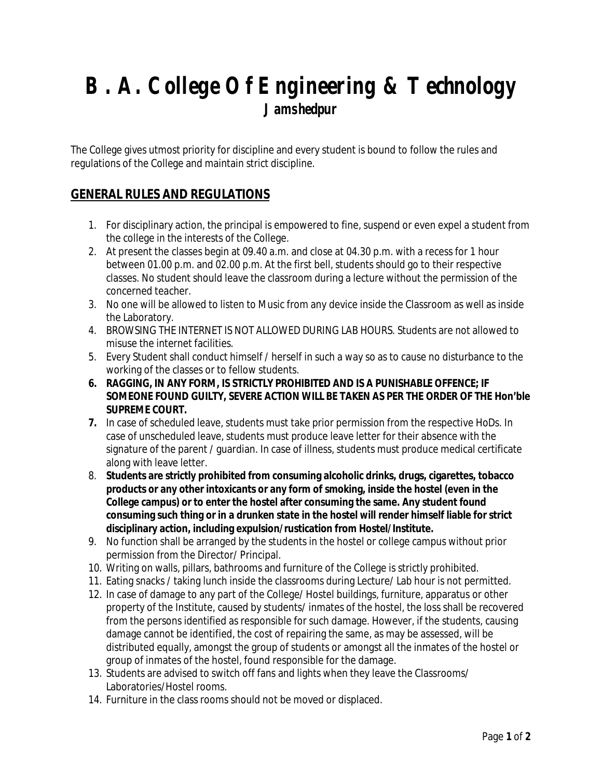## **B. A. College Of Engineering & Technology Jamshedpur**

The College gives utmost priority for discipline and every student is bound to follow the rules and regulations of the College and maintain strict discipline.

## **GENERAL RULES AND REGULATIONS**

- 1. For disciplinary action, the principal is empowered to fine, suspend or even expel a student from the college in the interests of the College.
- 2. At present the classes begin at 09.40 a.m. and close at 04.30 p.m. with a recess for 1 hour between 01.00 p.m. and 02.00 p.m. At the first bell, students should go to their respective classes. No student should leave the classroom during a lecture without the permission of the concerned teacher.
- 3. No one will be allowed to listen to Music from any device inside the Classroom as well as inside the Laboratory.
- 4. BROWSING THE INTERNET IS NOT ALLOWED DURING LAB HOURS. Students are not allowed to misuse the internet facilities.
- 5. Every Student shall conduct himself / herself in such a way so as to cause no disturbance to the working of the classes or to fellow students.
- **6. RAGGING, IN ANY FORM, IS STRICTLY PROHIBITED AND IS A PUNISHABLE OFFENCE; IF SOMEONE FOUND GUILTY, SEVERE ACTION WILL BE TAKEN AS PER THE ORDER OF THE Hon'ble SUPREME COURT.**
- **7.** In case of scheduled leave, students must take prior permission from the respective HoDs. In case of unscheduled leave, students must produce leave letter for their absence with the signature of the parent / guardian. In case of illness, students must produce medical certificate along with leave letter.
- 8. **Students are strictly prohibited from consuming alcoholic drinks, drugs, cigarettes, tobacco products or any other intoxicants or any form of smoking, inside the hostel (even in the College campus) or to enter the hostel after consuming the same. Any student found consuming such thing or in a drunken state in the hostel will render himself liable for strict disciplinary action, including expulsion/rustication from Hostel/Institute.**
- 9. No function shall be arranged by the students in the hostel or college campus without prior permission from the Director/ Principal.
- 10. Writing on walls, pillars, bathrooms and furniture of the College is strictly prohibited.
- 11. Eating snacks / taking lunch inside the classrooms during Lecture/ Lab hour is not permitted.
- 12. In case of damage to any part of the College/ Hostel buildings, furniture, apparatus or other property of the Institute, caused by students/ inmates of the hostel, the loss shall be recovered from the persons identified as responsible for such damage. However, if the students, causing damage cannot be identified, the cost of repairing the same, as may be assessed, will be distributed equally, amongst the group of students or amongst all the inmates of the hostel or group of inmates of the hostel, found responsible for the damage.
- 13. Students are advised to switch off fans and lights when they leave the Classrooms/ Laboratories/Hostel rooms.
- 14. Furniture in the class rooms should not be moved or displaced.